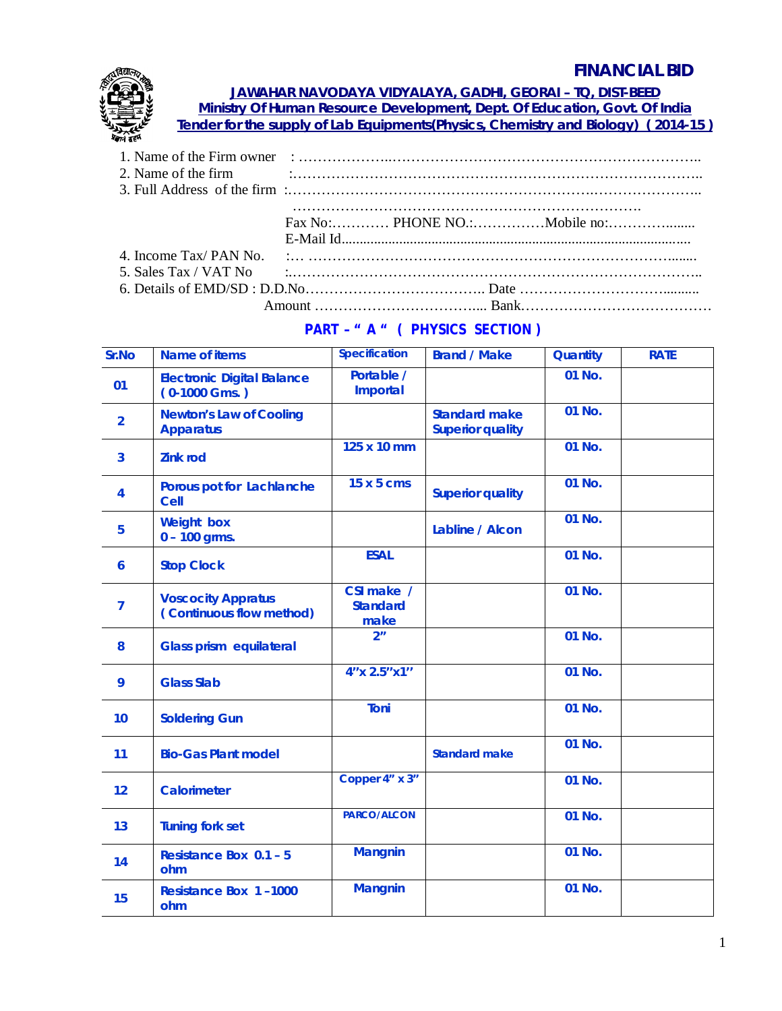## **FINANCIAL BID**



**JAWAHAR NAVODAYA VIDYALAYA, GADHI, GEORAI – TQ, DIST-BEED Ministry Of Human Resource Development, Dept. Of Education, Govt. Of India**

**Tender for the supply of Lab Equipments(Physics, Chemistry and Biology) ( 2014-15 )**

| 5. Sales Tax / VAT No $\ldots$ $\ldots$ $\ldots$ $\ldots$ $\ldots$ $\ldots$ $\ldots$ $\ldots$ $\ldots$ $\ldots$ $\ldots$ $\ldots$ $\ldots$ $\ldots$ $\ldots$ |  |
|--------------------------------------------------------------------------------------------------------------------------------------------------------------|--|
|                                                                                                                                                              |  |
|                                                                                                                                                              |  |

## **PART – " A " ( PHYSICS SECTION )**

| Sr.No          | <b>Name of items</b>                                  | <b>Specification</b>                  | <b>Brand / Make</b>                             | <b>Quantity</b> | <b>RATE</b> |
|----------------|-------------------------------------------------------|---------------------------------------|-------------------------------------------------|-----------------|-------------|
| 01             | <b>Electronic Digital Balance</b><br>$(0-1000$ Gms.)  | Portable /<br><b>Importal</b>         |                                                 | 01 No.          |             |
| $\overline{2}$ | <b>Newton's Law of Cooling</b><br><b>Apparatus</b>    |                                       | <b>Standard make</b><br><b>Superior quality</b> | 01 No.          |             |
| 3              | <b>Zink rod</b>                                       | 125 x 10 mm                           |                                                 | 01 No.          |             |
| 4              | Porous pot for Lachlanche<br><b>Cell</b>              | 15 x 5 cms                            | <b>Superior quality</b>                         | 01 No.          |             |
| 5              | <b>Weight box</b><br>$0 - 100$ grms.                  |                                       | Labline / Alcon                                 | 01 No.          |             |
| 6              | <b>Stop Clock</b>                                     | <b>ESAL</b>                           |                                                 | 01 No.          |             |
| $\overline{7}$ | <b>Voscocity Appratus</b><br>(Continuous flow method) | CSI make /<br><b>Standard</b><br>make |                                                 | 01 No.          |             |
| 8              | <b>Glass prism equilateral</b>                        | 2 <sup>n</sup>                        |                                                 | 01 No.          |             |
| 9              | <b>Glass Slab</b>                                     | 4"x 2.5"x1"                           |                                                 | 01 No.          |             |
| 10             | <b>Soldering Gun</b>                                  | Toni                                  |                                                 | 01 No.          |             |
| 11             | <b>Bio-Gas Plant model</b>                            |                                       | <b>Standard make</b>                            | 01 No.          |             |
| 12             | <b>Calorimeter</b>                                    | Copper 4" x 3"                        |                                                 | 01 No.          |             |
| 13             | <b>Tuning fork set</b>                                | <b>PARCO/ALCON</b>                    |                                                 | 01 No.          |             |
| 14             | <b>Resistance Box 0.1 - 5</b><br>ohm                  | <b>Mangnin</b>                        |                                                 | 01 No.          |             |
| 15             | <b>Resistance Box 1-1000</b><br>ohm                   | <b>Mangnin</b>                        |                                                 | 01 No.          |             |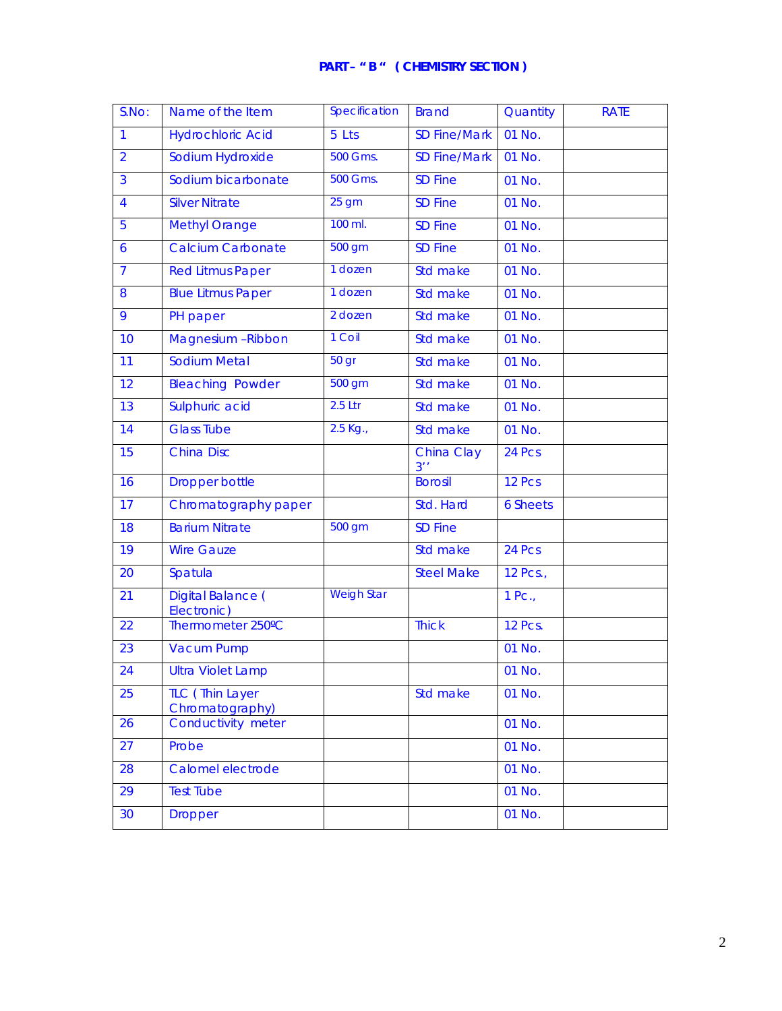| S.No:          | Name of the Item                          | Specification     | <b>Brand</b>        | Quantity        | <b>RATE</b> |
|----------------|-------------------------------------------|-------------------|---------------------|-----------------|-------------|
| 1              | <b>Hydrochloric Acid</b>                  | 5 Lts             | <b>SD Fine/Mark</b> | 01 No.          |             |
| $\overline{2}$ | Sodium Hydroxide                          | 500 Gms.          | <b>SD Fine/Mark</b> | 01 No.          |             |
| 3              | Sodium bicarbonate                        | 500 Gms.          | <b>SD Fine</b>      | 01 No.          |             |
| 4              | <b>Silver Nitrate</b>                     | 25 <sub>gm</sub>  | <b>SD Fine</b>      | 01 No.          |             |
| 5              | Methyl Orange                             | 100 ml.           | <b>SD Fine</b>      | 01 No.          |             |
| 6              | <b>Calcium Carbonate</b>                  | 500 gm            | <b>SD Fine</b>      | 01 No.          |             |
| $\overline{7}$ | <b>Red Litmus Paper</b>                   | 1 dozen           | Std make            | 01 No.          |             |
| 8              | <b>Blue Litmus Paper</b>                  | 1 dozen           | Std make            | 01 No.          |             |
| 9              | PH paper                                  | 2 dozen           | Std make            | 01 No.          |             |
| 10             | Magnesium - Ribbon                        | 1 Coil            | Std make            | 01 No.          |             |
| 11             | Sodium Metal                              | 50 gr             | Std make            | 01 No.          |             |
| 12             | <b>Bleaching Powder</b>                   | 500 gm            | Std make            | 01 No.          |             |
| 13             | Sulphuric acid                            | $2.5$ Ltr         | Std make            | 01 No.          |             |
| 14             | <b>Glass Tube</b>                         | 2.5 Kg.,          | Std make            | 01 No.          |             |
| 15             | <b>China Disc</b>                         |                   | China Clay<br>3''   | 24 Pcs          |             |
| 16             | <b>Dropper bottle</b>                     |                   | <b>Borosil</b>      | 12 Pcs          |             |
| 17             | Chromatography paper                      |                   | Std. Hard           | <b>6 Sheets</b> |             |
| 18             | <b>Barium Nitrate</b>                     | 500 gm            | <b>SD Fine</b>      |                 |             |
| 19             | <b>Wire Gauze</b>                         |                   | Std make            | 24 Pcs          |             |
| 20             | Spatula                                   |                   | <b>Steel Make</b>   | 12 Pcs.,        |             |
| 21             | Digital Balance (<br>Electronic)          | <b>Weigh Star</b> |                     | $1$ Pc.,        |             |
| 22             | Thermometer 250°C                         |                   | <b>Thick</b>        | <b>12 Pcs.</b>  |             |
| 23             | <b>Vacum Pump</b>                         |                   |                     | 01 No.          |             |
| 24             | <b>Ultra Violet Lamp</b>                  |                   |                     | 01 No.          |             |
| 25             | <b>TLC</b> (Thin Layer<br>Chromatography) |                   | Std make            | 01 No.          |             |
| 26             | Conductivity meter                        |                   |                     | 01 No.          |             |
| 27             | Probe                                     |                   |                     | 01 No.          |             |
| 28             | Calomel electrode                         |                   |                     | 01 No.          |             |
| 29             | <b>Test Tube</b>                          |                   |                     | 01 No.          |             |
| 30             | <b>Dropper</b>                            |                   |                     | 01 No.          |             |